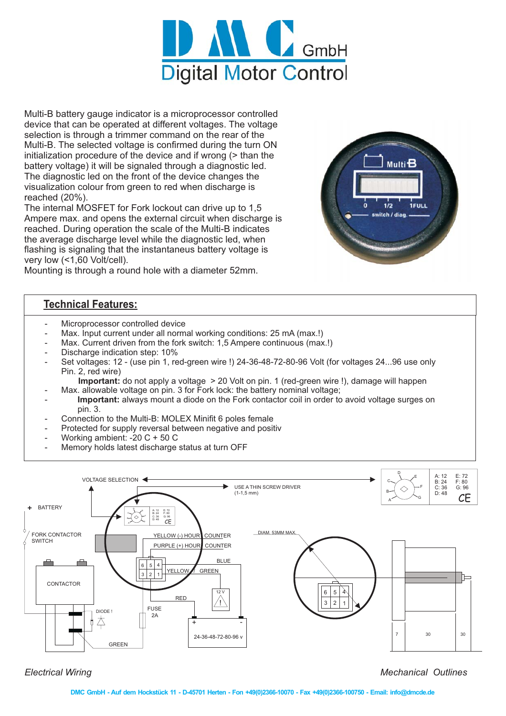

Multi-B battery gauge indicator is a microprocessor controlled device that can be operated at different voltages. The voltage selection is through a trimmer command on the rear of the Multi-B. The selected voltage is confirmed during the turn ON initialization procedure of the device and if wrong (> than the battery voltage) it will be signaled through a diagnostic led. The diagnostic led on the front of the device changes the visualization colour from green to red when discharge is reached (20%).

The internal MOSFET for Fork lockout can drive up to 1,5 Ampere max. and opens the external circuit when discharge is reached. During operation the scale of the Multi-B indicates the average discharge level while the diagnostic led, when flashing is signaling that the instantaneus battery voltage is very low (<1,60 Volt/cell).



Mounting is through a round hole with a diameter 52mm.

## **Technical Features:**

- Microprocessor controlled device
- Max. Input current under all normal working conditions: 25 mA (max.!)
- Max. Current driven from the fork switch: 1,5 Ampere continuous (max.!)
- Discharge indication step: 10%
- Set voltages: 12 (use pin 1, red-green wire !) 24-36-48-72-80-96 Volt (for voltages 24...96 use only Pin. 2, red wire)
	- Important: do not apply a voltage > 20 Volt on pin. 1 (red-green wire !), damage will happen
- Max. allowable voltage on pin. 3 for Fork lock: the battery nominal voltage;
- Important: always mount a diode on the Fork contactor coil in order to avoid voltage surges on pin. 3.
- Connection to the Multi-B: MOLEX Minifit 6 poles female
- Protected for supply reversal between negative and positiv
- Working ambient: -20 C + 50 C
- Memory holds latest discharge status at turn OFF



*Electrical Wiring*

**Mechanical Outlines** 

**DMC GmbH - Auf dem Hockstück 11 - D-45701 Herten - Fon +49(0)2366-10070 - Fax +49(0)2366-100750 - Email: info@dmcde.de**